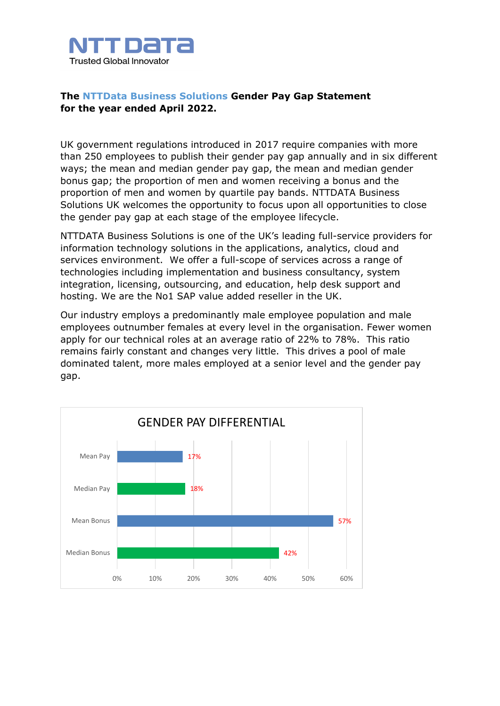

## **The NTTData Business Solutions Gender Pay Gap Statement for the year ended April 2022.**

UK government regulations introduced in 2017 require companies with more than 250 employees to publish their gender pay gap annually and in six different ways; the mean and median gender pay gap, the mean and median gender bonus gap; the proportion of men and women receiving a bonus and the proportion of men and women by quartile pay bands. NTTDATA Business Solutions UK welcomes the opportunity to focus upon all opportunities to close the gender pay gap at each stage of the employee lifecycle.

NTTDATA Business Solutions is one of the UK's leading full-service providers for information technology solutions in the applications, analytics, cloud and services environment. We offer a full-scope of services across a range of technologies including implementation and business consultancy, system integration, licensing, outsourcing, and education, help desk support and hosting. We are the No1 SAP value added reseller in the UK.

Our industry employs a predominantly male employee population and male employees outnumber females at every level in the organisation. Fewer women apply for our technical roles at an average ratio of 22% to 78%. This ratio remains fairly constant and changes very little. This drives a pool of male dominated talent, more males employed at a senior level and the gender pay gap.

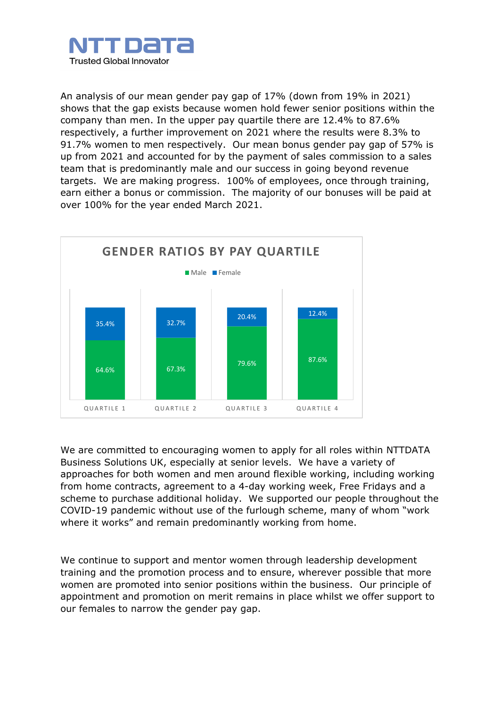

An analysis of our mean gender pay gap of 17% (down from 19% in 2021) shows that the gap exists because women hold fewer senior positions within the company than men. In the upper pay quartile there are 12.4% to 87.6% respectively, a further improvement on 2021 where the results were 8.3% to 91.7% women to men respectively. Our mean bonus gender pay gap of 57% is up from 2021 and accounted for by the payment of sales commission to a sales team that is predominantly male and our success in going beyond revenue targets. We are making progress. 100% of employees, once through training, earn either a bonus or commission. The majority of our bonuses will be paid at over 100% for the year ended March 2021.



We are committed to encouraging women to apply for all roles within NTTDATA Business Solutions UK, especially at senior levels. We have a variety of approaches for both women and men around flexible working, including working from home contracts, agreement to a 4-day working week, Free Fridays and a scheme to purchase additional holiday. We supported our people throughout the COVID-19 pandemic without use of the furlough scheme, many of whom "work where it works" and remain predominantly working from home.

We continue to support and mentor women through leadership development training and the promotion process and to ensure, wherever possible that more women are promoted into senior positions within the business. Our principle of appointment and promotion on merit remains in place whilst we offer support to our females to narrow the gender pay gap.